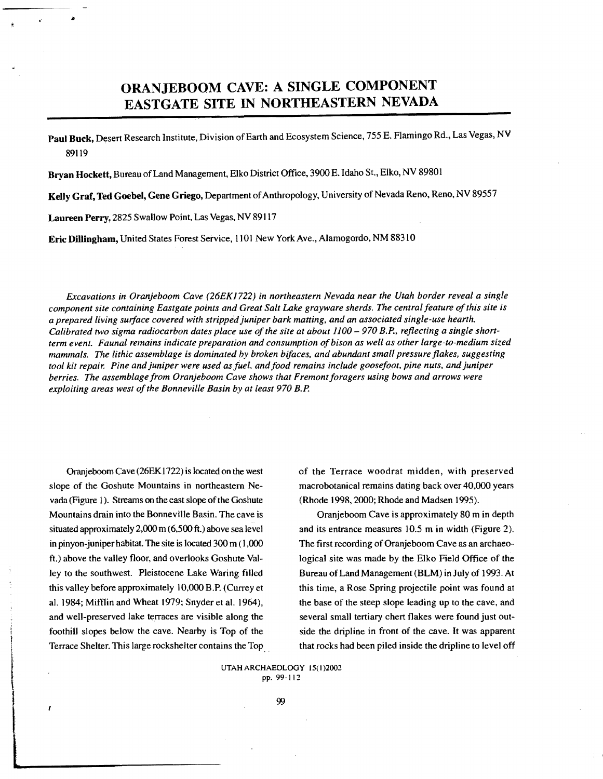# ORANJEBOOM CAVE: A SINGLE COMPONENT EASTGATE SITE IN NORTHEASTERN NEVADA

Paul Buck, Desert Research Institute, Division of Earth and Ecosystem Science, 755 E. Flamingo Rd., Las Vegas, NV 89119

Bryan Hockett, Bureau ofLand Management, Elko District Office, 3900 E. Idaho St., Elko, NV 89801

Kelly Graf, Ted Goebel, Gene Griego, Department of Anthropology, University of Nevada Reno, Reno, NV 89557

Laureen Perry, 2825 Swallow Point, Las Vegas, NV 89117

Eric Dillingham, United States Forest Service, 1101 New York Ave., Alamogordo, NM 88310

*Excavations in Oranjeboom Cave (26EK* J722) *in northeastern Nevada near the Utah border reveal a single component site containing Eastgate points and Great Salt Lake grayware sherds. The central feature ofthis site is a prepared living surface covered with stripped juniper bark matting, and an associated single-use hearth.*  Calibrated two sigma radiocarbon dates place use of the site at about 1100 - 970 B.P., reflecting a single short*term event. Faunal remains indicate preparation and consumption ofbison as well as other large-to-medium sized mammals. The lithic assemblage is dominated by broken bifaces. and abundant small pressure flakes. suggesting tool kit repair. Pine and juniper were used asfuel, andfood remains include goosefoot, pine nuts. and juniper berries. The assemblage from Oranjeboom Cave shows that Fremont foragers using bows and arrows were exploiting areas west of the Bonneville Basin by at least 970 B.P.* 

Oranjeboom Cave (26EK 1722) is located on the west slope of the Goshute Mountains in northeastern Nevada (Figure 1). Streams on the east slope of the Goshute Mountains drain into the Bonneville Basin. The cave is situated approximately 2,000 m (6,500 ft.) above sea level in pinyon-juniper habitat. The site is located 300 m (1,000 ft.) above the valley floor, and overlooks Goshute Valley to the southwest. Pleistocene Lake Waring filled this valley before approximately 10,000 B.P. (Currey et aJ. 1984; Mifflin and Wheat 1979; Snyderet al. 1964), and well-preserved lake terraces are visible along the foothill slopes below the cave. Nearby is Top of the Terrace Shelter. This large rockshelter contains the Top ..

of the Terrace woodrat midden, with preserved macrobotanical remains dating back over 40,000 years (Rhode 1998,2000; Rhode and Madsen 1995).

Oranjeboom Cave is approximately 80 m in depth and its entrance measures 10.5 m in width (Figure 2). The first recording of Oranjeboom Cave as an archaeological site was made by the Elko Field Office of the Bureau ofLand Management (BLM) in July of 1993. At this time, a Rose Spring projectile point was found at the base of the steep slope leading up to the cave, and several small tertiary chert flakes were found just outside the dripline in front of the cave. It was apparent that rocks had been piled inside the dripline to level off

UTAH ARCHAEOLOGY 15(1)2002  $\begin{array}{c}\n\text{UTAH ARCHABOLOG} \\
\text{P1}\n\end{array}$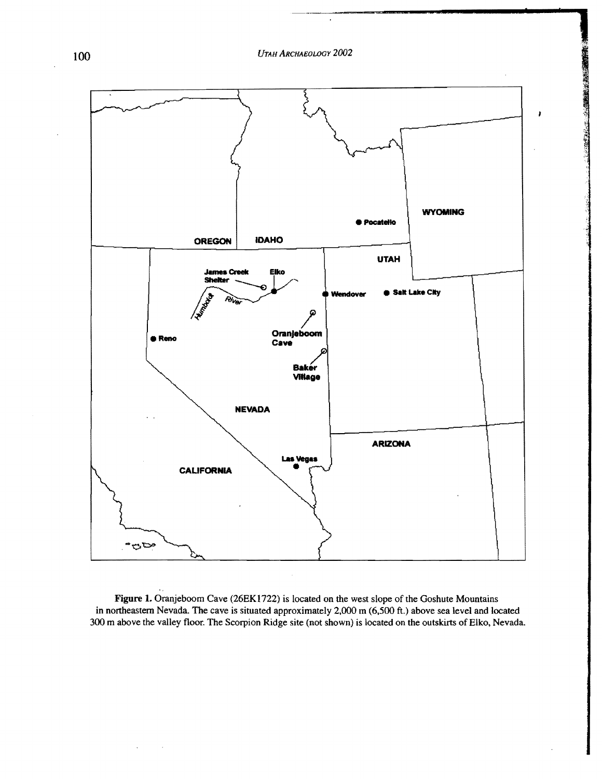*UTAH ARCHAEOLOGY 2002* 100

**1** 

**, 2008 (2008)** 



Figure 1. Oranjeboom Cave (26EK 1722) is located on the west slope of the Goshute Mountains in northeastern Nevada. The cave is situated approximately 2,000 m (6,500 ft.) above sea level and located 300 m above the valley floor. The Scorpion Ridge site (not shown) is located on the outskirts of Elko, Nevada.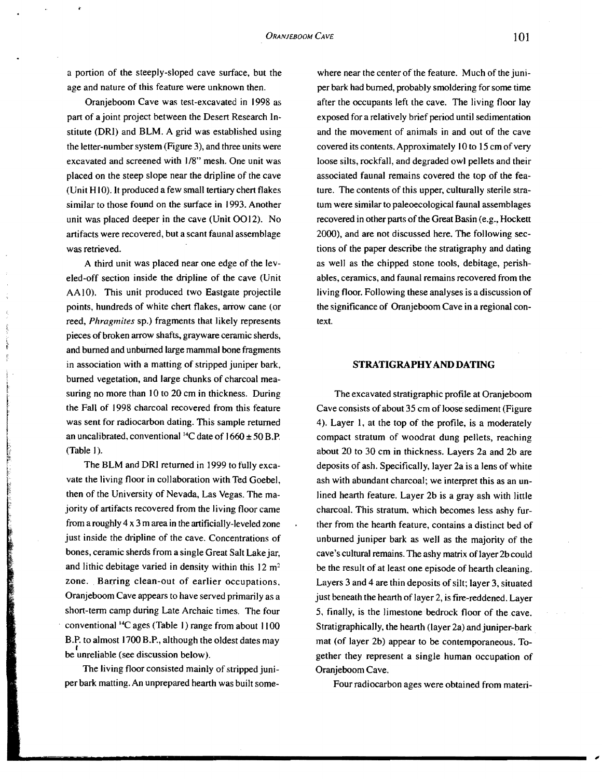a portion of the steeply-sloped cave surface, but the age and nature of this feature were unknown then.

Oranjeboom Cave was test-excavated in 1998 as part of ajoint project between the Desert Research Institute (DRI) and BLM. A grid was established using the letter-number system (Figure 3), and three units were excavated and screened with 1/8" mesh. One unit was placed on the steep slope near the dripline of the cave (Unit H10). It produced a few small tertiary chert flakes similar to those found on the surface in 1993. Another unit was placed deeper in the cave (Unit 0012). No artifacts were recovered, but a scant faunal assemblage was retrieved.

A third unit was placed near one edge of the leveled-off section inside the dripline of the cave (Unit AA10). This unit produced two Eastgate projectile points, hundreds of white chert flakes, arrow cane (or reed, *Phragmites* sp.) fragments that likely represents pieces of broken arrow shafts, grayware ceramic sherds, and burned and unburned large mammal bone fragments in association with a matting of stripped juniper bark, burned vegetation, and large chunks of charcoal measuring no more than 10 to 20 cm in thickness. During the Fall of 1998 charcoal recovered from this feature was sent for radiocarbon dating. This sample returned an uncalibrated, conventional <sup>14</sup>C date of  $1660 \pm 50$  B.P. (Table I).

i .

The BLM and DRI returned in 1999 to fully excavate the living floor in collaboration with Ted Goebel, then of the University of Nevada, Las Vegas. The majority of artifacts recovered from the living floor came from a roughly 4 x 3 m area in the artificially-leveled zone just inside the dripline of the cave. Concentrations of bones, ceramic sherds from a single Great Salt Lake jar, and lithic debitage varied in density within this  $12 \text{ m}^2$ zone. Barring clean-out of earlier occupations, Oranjeboom Cave appears to have served primarily as a short-term camp during Late Archaic times. The four conventional  $^{14}C$  ages (Table 1) range from about  $1100$ B.P. to almost 1700 B.P., although the oldest dates may  $\theta$  unreliable (see discussion below).

The living floor consisted mainly of stripped juniper bark matting. An unprepared hearth was built some-

where near the center of the feature. Much of the juniper bark had burned, probably smoldering for some time after the occupants left the cave. The living floor lay exposed for a relatively brief period until sedimentation and the movement of animals in and out of the cave covered its contents. Approximately 10 to 15 cm of very loose silts, rockfall, and degraded ow) pellets and their associated faunal remains covered the top of the feature. The contents of this upper, culturally sterile stratum were similar to paleoecological faunal assemblages recovered in other parts of the Great Basin (e.g., Hockett 2000), and are not discussed here. The following sections of the paper describe the stratigraphy and dating as well as the chipped stone tools, debitage, perishables, ceramics, and faunal remains recovered from the living floor. Following these analyses is a discussion of the significance of Oranjeboom Cave in a regional context.

#### **STRATIGRAPHYAND DATING**

The excavated stratigraphic profile at Oranjeboom Cave consists of about 35 cm of loose sediment (Figure) 4). Layer I, at the top of the profile, is a moderately compact stratum of woodrat dung pellets, reaching about 20 to 30 cm in thickness. Layers 2a and 2b are deposits of ash. Specifically, layer 2a is a lens of white ash with abundant charcoal; we interpret this as an unlined hearth feature. Layer 2b is a gray ash with little charcoal. This stratum. which becomes less ashy further from the hearth feature, contains a distinct bed of unburned juniper bark as well as the majority of the cave's cultural remains. The ashy matrix of layer 2b could be the result of at least one episode of hearth cleaning. Layers 3 and 4 are thin deposits of silt; layer 3, situated just beneath the hearth of layer 2, is fire-reddened. Layer 5, finally, is the limestone' bedrock floor of the cave. Stratigraphically, the hearth (layer 2a) and juniper-bark . mat (of layer 2b) appear to be contemporaneous. Together they represent a single human occupation of Oranjeboom Cave.

Four radiocarbon ages were obtained from materi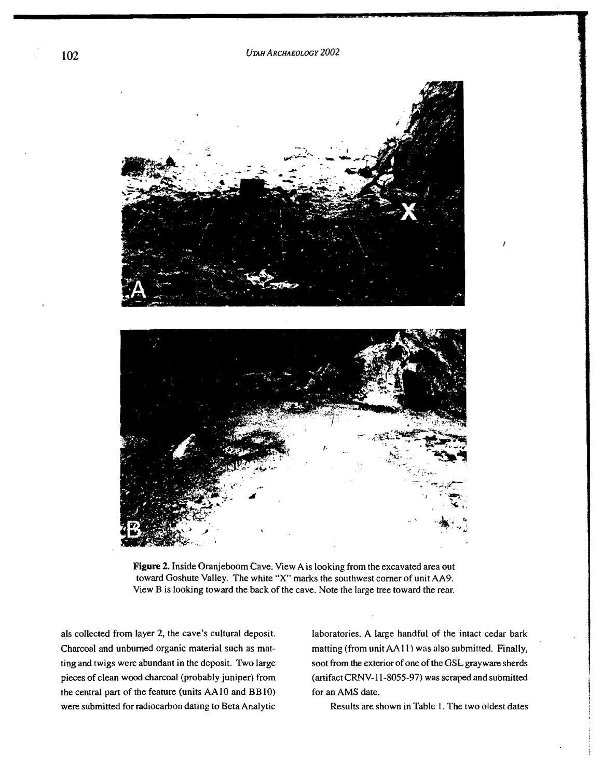

**Figure** 2. Inside Oranjeboom Cave. View A is looking from the excavated area out toward Goshute Valley. The white "X" marks the southwest comer of unit AA9. View B is looking toward the back of the cave. Note the large tree toward the rear.

als collected from layer 2, the cave's cultural deposit. Charcoal and unburned organic material such as matting and twigs were abundant in the deposit. Two large pieces of clean wood charcoal (probably juniper) from the central part of the feature (units AAlO and BBlO) were submitted for mdiocarbon dating to Beta Analytic laboratories. A large handful of the intact cedar bark matting (from unitAAII) was also submitted. Finally, soot from the exterior of one of the GSL grayware sherds (artifact CRNV-11-8055-97) was scraped and submitted for an AMS date.

Results are shown in Table I. The two oldest dates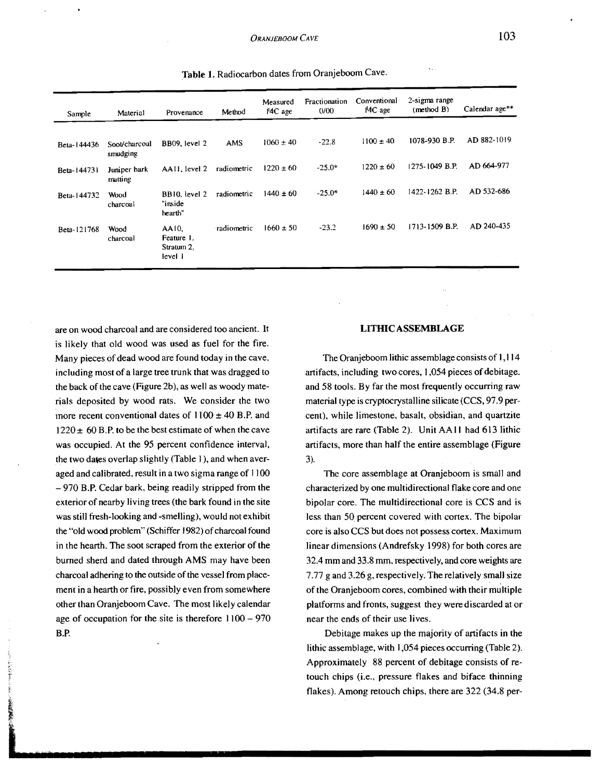| Sample      | Material                  | Provenance                                   | Method      | Measured<br>14C age | Fractionation<br>0/00 | Conventional<br>$H4C$ age | 2-sigma range<br>(method B) | Calendar age** |
|-------------|---------------------------|----------------------------------------------|-------------|---------------------|-----------------------|---------------------------|-----------------------------|----------------|
|             |                           |                                              |             |                     |                       |                           |                             |                |
| Beta-144436 | Soot/charcoal<br>smudging | BB09, level 2                                | <b>AMS</b>  | $1060 \pm 40$       | $-22.8$               | $1100 \pm 40$             | 1078-930 B.P.               | AD 882-1019    |
| Beta-144731 | Juniper bark<br>matting   | AA11, level 2                                | radiometric | $1220 \pm 60$       | $-25.0*$              | $1220 \pm 60$             | 1275-1049 B.P.              | AD 664-977     |
| Beta-144732 | Wood<br>charcoal          | BB10, level 2<br>"inside<br>hearth"          | radiometric | $1440 \pm 60$       | $-25.0*$              | $1440 \pm 60$             | 1422-1262 B.P.              | AD 532-686     |
| Beta-121768 | Wood<br>charcoal          | AA10.<br>Feature 1.<br>Stratum 2.<br>level 1 | radiometric | $1660 \pm 50$       | $-23.2$               | $1690 \pm 50$             | 1713-1509 B.P.              | AD 240-435     |

Table 1. Radiocarbon dates from Oranjeboom Cave.

are on wood charcoal and are considered too ancient. It is likely that old wood was used as fuel for the fire. Many pieces of dead wood are found today in the cave. including most of a large tree trunk that was dragged to the back of the cave (Figure 2b), as well as woody materials deposited by wood rats. We consider the two more recent conventional dates of  $1100 \pm 40$  B.P. and  $1220 \pm 60$  B.P. to be the best estimate of when the cave was occupied. At the 95 percent confidence interval, the two dates overlap slightly (Table I ), and when averaged and calibrated, result in a two sigma range of  $1100$ 970 B.P. Cedar bark, being readily stripped from the exterior of nearby living trees (the bark found in the site was still fresh-looking and -smelling), would not exhibit the "old wood problem" (Schiffer 1982) of charcoal found in the hearth. The soot scraped from the exterior of the burned sherd and dated through AMS may have been charcoal adhering to the outside of the vessel from placement in a hearth or fire, possibly even from somewhere other than Oranjeboom Cave. The most likely calendar age of occupation for the site is therefore  $1100 - 970$ B.P.

## LITHIC ASSEMBLAGE

The Oranjeboom lithic assemblage consists of 1,114 artifacts, including two cores, 1,054 pieces of debitage. and 58 tools. By far the most frequently occurring raw material type is cryptocrystalline silicate (CCS, 97.9 percent), while limestone, basalt, obsidian, and quartzite artifacts are rare (Table 2). Unit AA II had 613 lithic artifacts, more than half the entire assemblage (Figure 3).

The core assemblage at Oranjeboom is small and characterized by one multidirectional flake core and one bipolar core. The multidirectional core is CCS and is less than 50 percent covered with cortex. The bipolar core is also CCS but does not possess cortex. Maximum linear dimensions (Andrefsky 1998) for both cores are 32.4 mm and 33.8 mm, respectively, and core weights are 7.77 g and 3.26 g, respectively. The relatively small size of the Oranjeboom cores, combined with their multiple platforms and fronts, suggest they were discarded at or near the ends of their use lives.

Debitage makes up the majority of artifacts in the lithic assemblage, with 1,054 pieces occurring (Table 2). Approximately 88 percent of debitage consists of retouch chips (i.e., pressure flakes and biface thinning flakes). Among retouch chips. there are 322 (34.8 per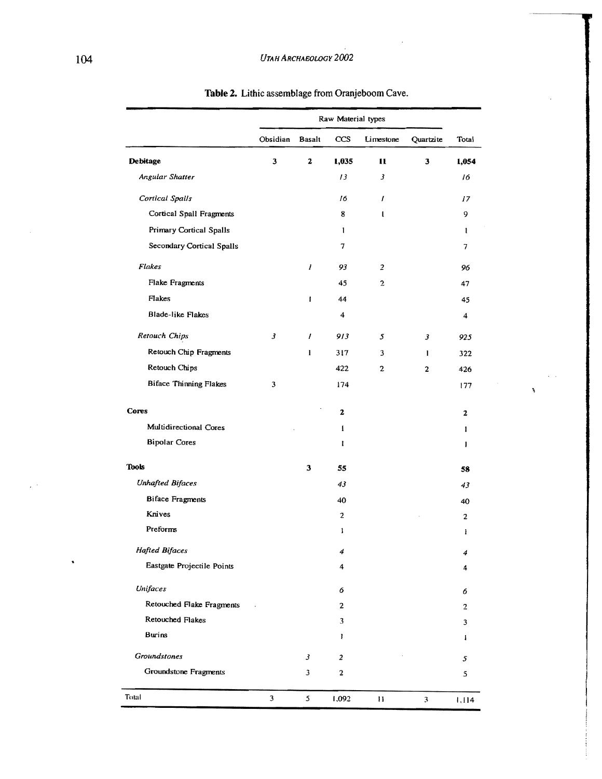|                               | Raw Material types |              |                          |                |                |                         |
|-------------------------------|--------------------|--------------|--------------------------|----------------|----------------|-------------------------|
|                               | Obsidian           | Basalt       | CCS                      | Limestone      | Quartzite      | Total                   |
| Debitage                      | 3                  | 2            | 1,035                    | u              | 3              | 1,054                   |
| Angular Shatter               |                    |              | 13                       | 3              |                | 16                      |
| Cortical Spalls               |                    |              | 16                       | 1              |                | 17                      |
| Cortical Spall Fragments      |                    |              | 8                        | $\mathbf{I}$   |                | 9                       |
| Primary Cortical Spalls       |                    |              | $\mathbf{I}$             |                |                | ŧ                       |
| Secondary Cortical Spalls     |                    |              | 7                        |                |                | 7                       |
| Flakes                        |                    | 1            | 93                       | $\overline{2}$ |                | 96                      |
| Flake Fragments               |                    |              | 45                       | $\overline{2}$ |                | 47                      |
| Flakes                        |                    | $\mathbf{I}$ | 44                       |                |                | 45                      |
| <b>Blade-like Flakes</b>      |                    |              | 4                        |                |                | $\boldsymbol{4}$        |
| Retouch Chips                 | 3                  | $\prime$     | 913                      | 5              | 3              | 925                     |
| <b>Retouch Chip Fragments</b> |                    | 1            | 317                      | 3              | 1              | 322                     |
| Retouch Chips                 |                    |              | 422                      | 2              | $\overline{c}$ | 426                     |
| <b>Biface Thinning Flakes</b> | 3                  |              | 174                      |                |                | 177                     |
| <b>Cores</b>                  |                    |              | 2                        |                |                | 2                       |
| Multidirectional Cores        |                    |              | 1                        |                |                | ı                       |
| <b>Bipolar Cores</b>          |                    |              | ı                        |                |                | 1                       |
| Tools                         |                    | 3            | 55                       |                |                | 58                      |
| <b>Unhafted Bifaces</b>       |                    |              | 43                       |                |                | 43                      |
| <b>Biface Fragments</b>       |                    |              | 40                       |                |                | 40                      |
| Knives                        |                    |              | 2                        |                |                | $\overline{\mathbf{c}}$ |
| Preforms                      |                    |              | $\mathbf{1}$             |                |                | ł                       |
| Hafted Bifaces                |                    |              | $\overline{\mathcal{L}}$ |                |                | 4                       |
| Eastgate Projectile Points    |                    |              | 4                        |                |                | 4                       |
| Unifaces                      |                    |              | 6                        |                |                | 6                       |
| Retouched Flake Fragments     |                    |              | $\mathbf{2}$             |                |                | 2                       |
| Retouched Flakes              |                    |              | 3                        |                |                | 3                       |
| <b>Burins</b>                 |                    |              | I                        |                |                | I                       |
| Groundstones                  |                    | 3            | $\overline{\mathbf{c}}$  |                |                | 5                       |
| Groundstone Fragments         |                    | 3            | 2                        |                |                | 5                       |
| Total                         | 3                  | 5            | 1,092                    | $\mathbf{H}$   | 3              | 1,114                   |

¥

**Table 2.** Lithic assemblage from Oranjeboom Cave.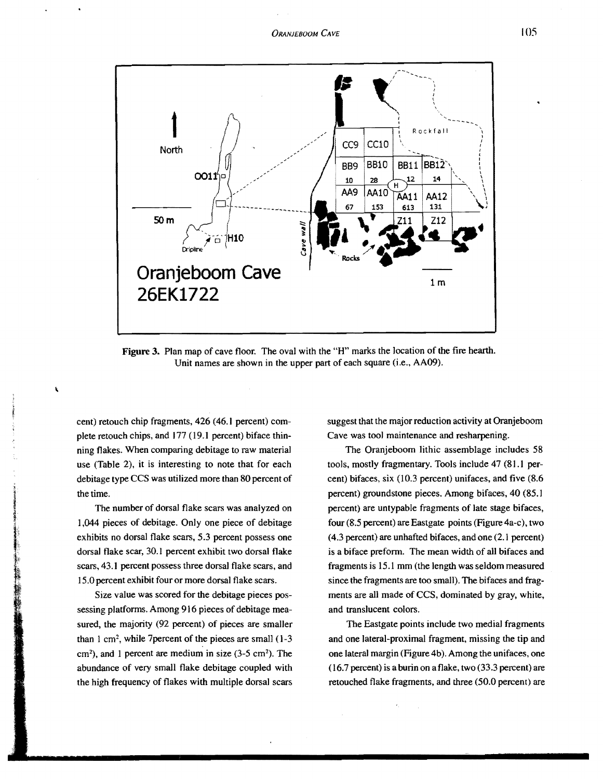

Figure 3. Plan map of cave floor. The oval with the "H" marks the location of the fire hearth. Unit names are shown in the upper part of each square (i.e., AA09).

cent) retouch chip fragments, 426 (46.1 percent) complete retouch chips, and 177 (19.1 percent) biface thinning flakes. When comparing debitage to raw material use (Table 2), it is interesting to note that for each debitage type CCS was utilized more than 80 percent of the time.

The number of dorsal flake scars was analyzed on 1,044 pieces of debitage. Only one piece of debitage exhibits no dorsal flake scars, 5.3 percent possess one dorsal flake scar, 30.1 percent exhibit two dorsal flake scars,43.1 percent possess three dorsal flake scars, and 15.0 percent exhibit four or more dorsal flake scars.

Size value was scored for the debitage pieces possessing platforms. Among 916 pieces of debitage measured, the majority (92 percent) of pieces are smaller than  $1 \text{ cm}^2$ , while 7 percent of the pieces are small  $(1-3)$  $\text{cm}^2$ ), and 1 percent are medium in size (3-5 cm<sup>2</sup>). The abundance of very small flake debitage coupled with the high frequency of flakes with multiple dorsal scars

suggest that the major reduction activity at Oranjeboom Cave was tool maintenance and resharpening.

The Oranjeboom lithic assemblage includes 58 tools. mostly fragmentary. Tools include 47 (81.1 percent) bifaces, six (l0.3 percent) unifaces, and five (8.6 percent) groundstone pieces. Among bifaces, 40 (85.1 percent) are untypable fragments of late stage bifaces, four (8.5 percent) are Eastgate points (Figure 4a-c), two (4.3 percent) are unhafted bifaces, and one (2.1 percent) is a biface preform. The mean width of all bifaces and fragments is 15.1 mm (the length was seldom measured since the fragments are too small). The bifaces and fragments are all made of CCS, dominated by gray, white, and translucent colors.

The Eastgate points include two medial fragments and one lateral-proximal fragment, missing the tip and one lateral margin (Figure 4b). Among the unifaces, one (16.7 percent) is a burin on a flake, two (33.3 percent) are retouched flake fragments, and three (50.0 percent) are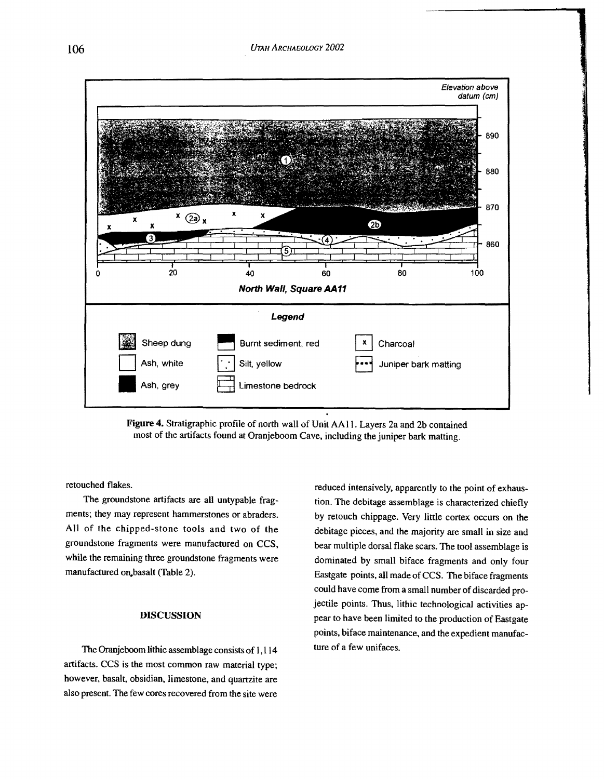

**Figure 4.** Stratigraphic profile of north wall of Unit AA II. Layers 2a and 2b contained most of the artifacts found at Oranjeboom Cave, including the juniper bark matting.

retouched flakes.

The groundstone artifacts are all untypable fragments; they may represent hammerstones or abraders. All of the chipped-stone tools and two of the groundstone fragments were manufactured on CCS, while the remaining three groundstone fragments were manufactured on basalt (Table 2).

# DISCUSSION

The Oranjeboom lithic assemblage consists of 1,114 artifacts. CCS is the most common raw material type; however, basalt, obsidian, limestone, and quartzite are also present. The few cores recovered from the site were reduced intensively, apparently to the point of exhaustion. The debitage assemblage is characterized chiefly by retouch chippage. Very little cortex occurs on the debitage pieces, and the majority are small in size and bear multiple dorsal flake scars. The tool assemblage is dominated by small biface fragments and only four Eastgate points, all made of CCS. The biface fragments could have come from a small number of discarded projectile points. Thus, lithic technological activities appear to have been limited to the production of Eastgate points, biface maintenance, and the expedient manufacture of a few unifaces.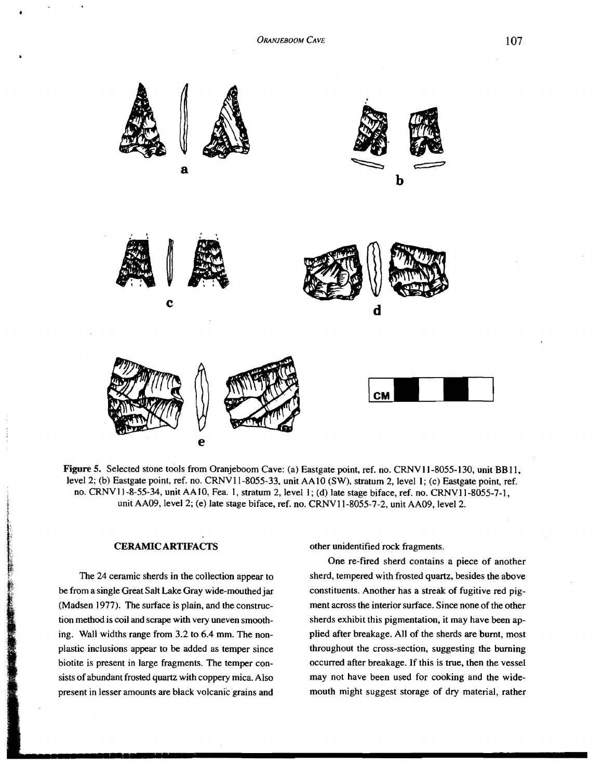

Figure 5. Selected stone tools from Oranjeboom Cave: (a) Eastgate point, ref. no. CRNV 11-8055-130, unit **BB II,**  level 2; (b) Eastgate point, ref. no. CRNVII-8055-33, unit AAIO (SW), stratum 2, level I; (c) Eastgate point, ref. no. CRNVII-8-55-34, unit AAIO, Fea. I, stratum 2, level I; (d) late stage biface, ref. no. CRNVl1-8055-7-1, unit AA09, level 2; (e) late stage biface, ref. no. CRNV11-8055-7-2, unit AA09, level 2.

# CERAMIC ARTIFACTS

**「それは、「大きなのか」と、「大きなのか」という意味をしている。** 

The 24 ceramic sherds in the collection appear to be from a single Great Salt Lake Gray wide-mouthed jar (Madsen 1977). The surface is plain, and the construction method is coil and scrape with very uneven smoothing. Wall widths range from 3.2 to 6.4 mm. The nonplastic inclusions appear to be added as temper since biotite is present in large fragments. The temper consists of abundant frosted quartz with coppery mica. Also present in lesser amounts are black volcanic grains and

other unidentified rock fragments.

One re-fired sherd contains a piece of another sherd, tempered with frosted quartz. besides the above constituents. Another has a streak of fugitive red pigment across the interior surface. Since none of the other sherds exhibit this pigmentation, it may have been applied after breakage. All of the sherds are burnt, most throughout the cross-section, suggesting the burning occurred after breakage. If this is true, then the vessel may not have been used for cooking and the widemouth might suggest storage of dry material, rather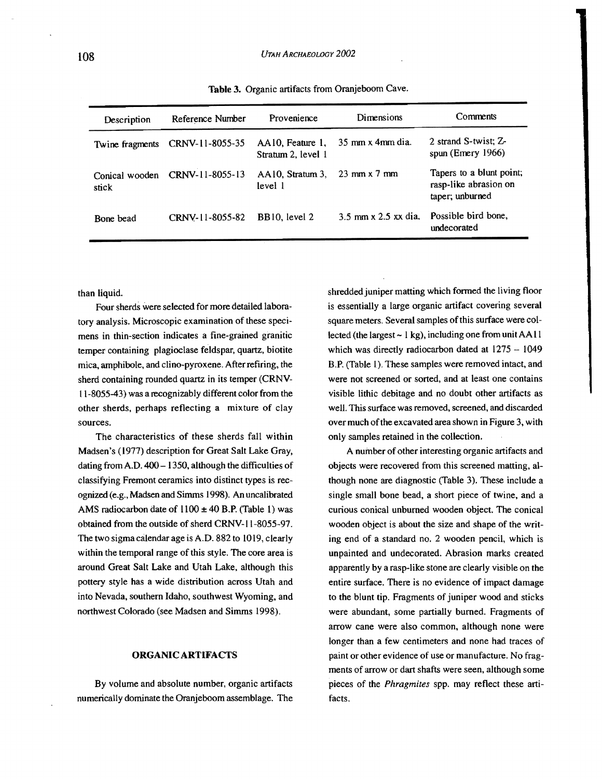| Description             | Reference Number | Provenience                            | Dimensions                               | Comments                                                             |
|-------------------------|------------------|----------------------------------------|------------------------------------------|----------------------------------------------------------------------|
| Twine fragments         | CRNV-11-8055-35  | AA10, Feature 1,<br>Stratum 2. level 1 | $35 \text{ mm} \times 4 \text{ mm}$ dia. | 2 strand S-twist; Z-<br>spun (Emery $1966$ )                         |
| Conical wooden<br>stick | CRNV-11-8055-13  | AA10. Stratum 3.<br>level 1            | $23 \text{ mm} \times 7 \text{ mm}$      | Tapers to a blunt point;<br>rasp-like abrasion on<br>taper; unburned |
| Bone bead               | CRNV-11-8055-82  | BB10, level 2                          | $3.5$ mm x $2.5$ xx dia.                 | Possible bird bone,<br>undecorated                                   |

Table 3. Organic artifacts from Oranjeboom Cave.

than liquid.

Four sherds were selected for more detailed laboratory analysis. Microscopic examination of these specimens in thin-section indicates a fine-grained granitic temper containing plagioclase feldspar, quartz, biotite mica, amphibole, and clino-pyroxene. After refiring, the sherd containing rounded quartz in its temper (CRNV-11-8055-43) was a recognizably different color from the other sherds, perhaps reflecting a mixture of clay sources.

The characteristics of these sherds fall within Madsen's (1977) description for Great Salt Lake Gray, dating from A.D. 400 - 1350, although the difficulties of classifying Fremont ceramics into distinct types is recognized (e.g., Madsen and Simms 1998). An uncalibrated AMS radiocarbon date of  $1100 \pm 40$  B.P. (Table 1) was obtained from the outside of sherd CRNV-II-8055-97. The two sigma caIendar age is A.D. 882 to 1019, clearly within the temporal range of this style. The core area is around Great Salt Lake and Utah Lake, although this pottery style has a wide distribution across Utah and into Nevada, southern Idaho, southwest Wyoming, and northwest Colorado (see Madsen and Simms 1998).

### ORGANIC ARTIFACTS

By volume and absolute number, organic artifacts numerically dominate the Oranjeboom assemblage. The shredded juniper matting which formed the living floor is essentially a large organic artifact covering several square meters. Several samples of this surface were collected (the largest  $\sim 1$  kg), including one from unit AA11 which was directly radiocarbon dated at  $1275 - 1049$ B.P. (Table 1). These samples were removed intact, and were not screened or sorted, and at least one contains visible lithic debitage and no doubt other artifacts as well. This surface was removed, screened, and discarded over much of the excavated area shown in Figure 3, with only samples retained in the collection.

A number of other interesting organic artifacts and objects were recovered from this screened matting, although none are diagnostic (Table 3). These include a single small bone bead, a short piece of twine, and a curious conical unburned wooden object. The conical wooden object is about the size and shape of the writing end of a standard no. 2 wooden pencil, which is unpainted and undecorated. Abrasion marks created apparently by a rasp-like stone are clearly visible on the entire surface. There is no evidence of impact damage to the blunt tip. Fragments of juniper wood and sticks were abundant, some partially burned. Fragments of arrow cane were also common, although none were longer than a few centimeters and none had traces of paint or other evidence of use or manufacture. No fragments of arrow or dart shafts were seen, although some pieces of the *Phragmites* spp. may reflect these artifacts.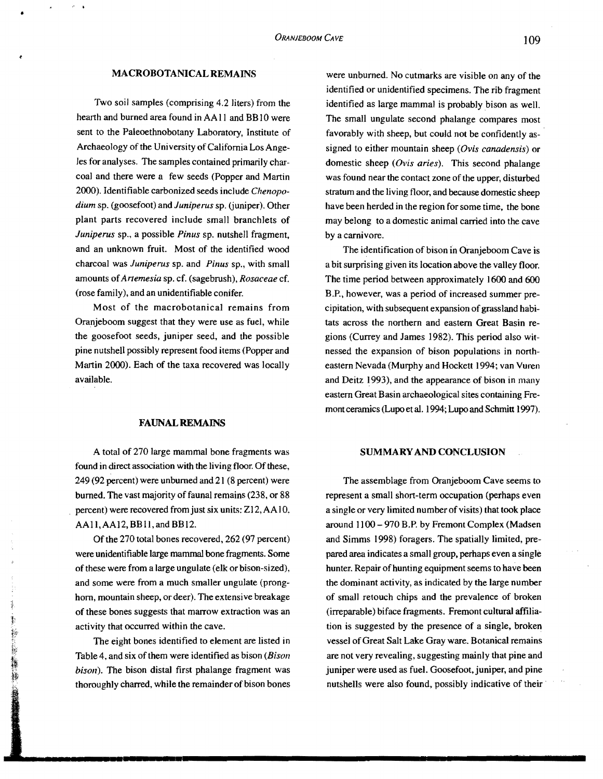# MACROBOTANICAL REMAINS

 $\bullet$   $\bullet$   $\bullet$   $\bullet$   $\bullet$   $\bullet$   $\bullet$ 

Two soil samples (comprising 4.2 liters) from the hearth and burned area found in AA11 and BB10 were sent to the Paleoethnobotany Laboratory, Institute of Archaeology of the University of California Los Angeles for analyses. The samples contained primarily charcoal and there were a few seeds (Popper and Martin 2000). Identifiable carbonized seeds include *Chenopodium* sp. (goosefoot) and *Juniperus* sp. (juniper). Other plant parts recovered include small branchlets of *Juniperus* sp., a possible *Pinus* sp. nutshell fragment, and an unknown fruit. Most of the identified wood charcoal waS *Juniperus* sp. and *Pinus* sp., with small amounts of*Artemesia* sp. cf. (sagebrush), *Rosaceae* cf. (rose family), and an unidentifiable conifer,

Most of the macrobotanical remains from Oranjeboom suggest that they were use as fuel, while the goosefoot seeds, juniper seed, and the possible pine nutshell possibly represent food items (Popper and Martin 2000). Each of the taxa recovered was locally available.

#### FAUNALREMAJNS

A total of 270 large mammal bone fragments was found in direct association with the living floor. Of these, 249 (92 percent) were unburned and 21 (8 percent) were burned. The vast majority of faunal remains (238, or 88 percent) were recovered from just six units: Z12, AA10. AAII,AAI2, BBlI, and BBI2.

Of the 270 total bones recovered, 262 (97 percent) were unidentifiable large mammal bone fragments. Some of these were from a large ungulate (elk or bison-sized), and some were from a much smaller ungulate (pronghorn, mountain sheep, or deer). The extensive breakage of these bones suggests that marrow extraction was an activity that occurred within the cave.

The eight bones identified to element are listed in Table 4, and six of them were identified as bison *(Bison*) *bison).* The bison distal first phalange fragment was thoroughly charred, while the remainder of bison bones

were unburned. No cutmarks are visible on any of the identified or unidentified specimens. The rib fragment identified as large mammal is probably bison as well. The small ungulate second phalange compares most favorably with sheep, but could not be confidently assigned to either mountain sheep *(Ovis canadensis)* or domestic sheep *(Ovis aries).* This second phalange was found near the contact zone of the upper, disturbed stratum and the living floor, and because domestic sheep have been herded in the region for some time, the bone may belong to a domestic animal carried into the cave by a carnivore.

The identification of bison in Oranjeboom Cave is a bit surprising given its location above the valley floor. The time period between approximately 1600 and 600 B.P., however, was a period of increased summer precipitation, with subsequent expansion of grassland habitats across the northern and eastern Great Basin regions (Currey and James 1982). This period also witnessed the expansion of bison populations in northeastern Nevada (Murphy and Hockett 1994; van Vuren and Deitz 1993), and the appearance of bison in many eastern Great Basin archaeological sites containing Fremont ceramics (Lupo et aI. 1994; Lupo and Schmitt 1997).

## SUMMARY AND CONCLUSION

The assemblage from Oranjeboom Cave seems to represent a small short-term occupation (perhaps even a single or very limited number of visits) that took place around 1100 - 970 B.P. by Fremont Complex (Madsen and Simms 1998) foragers. The spatially limited, prepared area indicates a small group, perhaps even a single hunter. Repair of hunting equipment seems to have been the dominant activity, as indicated by the large number of small retouch chips and the prevalence of broken (irreparable) biface fragments. Fremont cultural affiliation is suggested by the presence of a single, broken vessel of Great Salt Lake Gray ware. Botanical remains are not very revealing, suggesting mainly that pine and juniper were used as fuel. Goosefoot, juniper, and pine nutshells were also found, possibly indicative of their .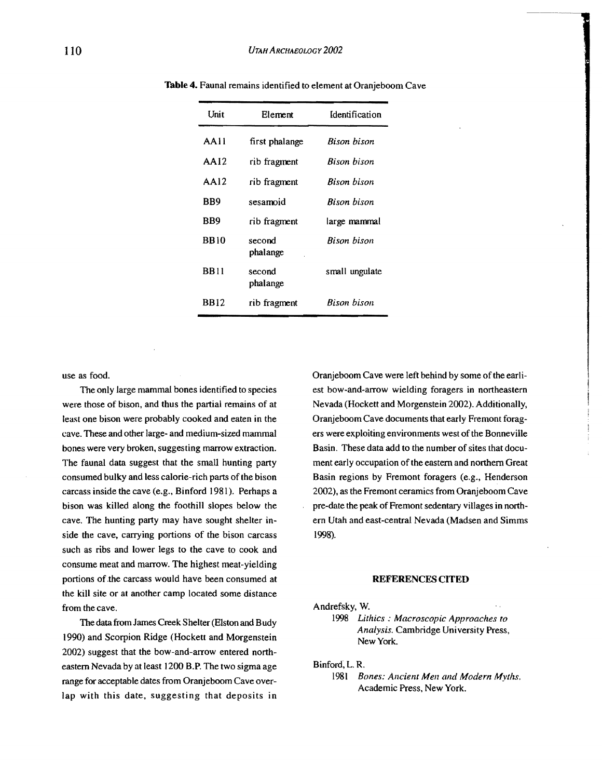| Unit        | Flement            | Identification     |  |
|-------------|--------------------|--------------------|--|
| AAII        | first phalange     | Bison bison        |  |
| AA12        | rib fragment       | <b>Bison</b> bison |  |
| AA12        | rib fragment       | Bison bison        |  |
| BB9         | sesamoid           | <b>Bison bison</b> |  |
| BB9         | rib fragment       | large mammal       |  |
| <b>BB10</b> | second<br>phalange | Rison bison        |  |
| <b>BB11</b> | second<br>phalange | small ungulate     |  |
| <b>BB12</b> | rib fragment       | Bison bison        |  |

Table 4. Faunal remains identified to element at Oranjeboom Cave

use as food.

The only large mammal bones identified to species were those of bison, and thus the partial remains of at least one bison were probably cooked and eaten in the cave. These and other large- and medium-sized mammal bones were very broken, suggesting marrow extraction. The faunal data suggest that the small hunting party consumed bulky and less calorie-rich parts of the bison carcass inside the cave (e.g., Binford 1981). Perhaps a bison was killed along the foothill slopes below the cave. The hunting party may have sought shelter inside the cave, carrying portions of the bison carcass such as ribs and lower legs to the cave to cook and consume meat and marrow. The highest meat-yielding portions of the carcass would have been consumed at the kill site or at another camp located some distance from the cave.

The data from James Creek Shelter (Elston and Budy 1990) and Scorpion Ridge (Hockett and Morgenstein 2002) suggest that the bow-and-arrow entered northeastern Nevada by at least 1200 B.P. The two sigma age range for acceptable dates from Oranjeboom Cave overlap with this date, suggesting that deposits in Oranjeboom Cave were left behind by some of the earliest bow-and-arrow wielding foragers in northeastern Nevada (Hockett and Morgenstein 2002). Additionally, Oranjeboom Cave documents that early Fremont foragers were exploiting environments west of the Bonneville Basin. These data add to the number of sites that document early occupation of the eastern and northern Great Basin regions by Fremont foragers (e.g., Henderson 2002), as the Fremont ceramics from Oranjeboom Cave pre-date the peak of Fremont sedentary villages in northern Utah and east-central Nevada (Madsen and Simms 1998).

#### REFERENCES CITED

Andrefsky, W.

1998 *Uthics: Macroscopic Approaches to Analysis.* Cambridge University Press, New York.

Binford; L. R.

1981 *Bones: Ancient Men arul Modern Myths.*  Academic Press, New York.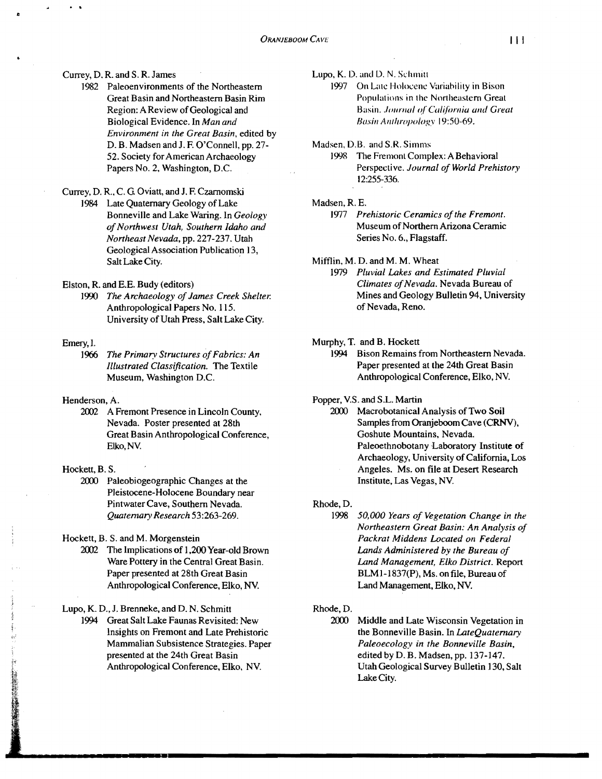## Currey, D. R. and S. R. James

]982 Paleoenvironments of the Northeastern Great Basin and Northeastern Basin Rim Region: A Review of Geological and Biological Evidence. In *Man and Environment in the Great Basin,* edited by D. B. Madsen and J. F. O'Connell, pp. 27-52. Society for American Archaeology Papers No.2. Washington, D.C.

# Currey, D. R.. C. G Oviatt, and 1. F. Czamomski

1984 Late Quaternary Geology of Lake Bonneville and Lake Waring. In *Geology of Northwest Utah, Southern Idaho and Nonheast Nevada,* pp. 227-237. Utah Geological Association Publication 13, Salt Lake City.

Elston, R. and E.E. Budy (editors)

1990 *The Archaeology of James Creek Shelter.* Anthropological Papers No. lIS. University of Utah Press, Salt Lake City.

#### Emery, I.

1966 The Primary Structures of Fabrics: An *Illustrated Classification.* The Textile Museum, Washington D.C.

#### Henderson, A.

2002 A Fremont Presence in Lincoln County, Nevada. Poster presented at 28th Great Basin Anthropological Conference, Elko,NV.

#### Hockett, B. S.

2000 Paleobiogeographic Changes at the Pleistocene-Holocene Boundary near Pintwater Cave, Southern Nevada. *Quatemary Research 53:263-269.* 

Hockett, B. S. and M. Morgenstein

2002 The Implications of 1,200 Year-old Brown Ware Pottery in the Central Great Basin. Paper presented at 28th Great Basin Anthropological Conference, Elko, NV.

Lupo, K. D., J. Brenneke, and D. N. Schmitt

1994 Great Salt Lake Faunas Revisited: New insights on Fremont and Late Prehistoric Mammalian Subsistence Strategies. Paper presented at the 24th Great Basin Anthropological Conference, Elko, NY.

Lupo, K. D. and D. N. Schmitt

- 1997 On Late Holocene Variability in Bison Populations in the Northeastern Great Basin. Journal of California and Great *Bosin Alllilropologv* 19:50-69.
- Madsen, D.B. and S.R. Simms
	- 1998 The Fremont Complex: A Behavioral Perspective. *Journal of World Prehistory*  12:255-336.

#### Madsen, R. E.

- 1977 Prehistoric Ceramics of the Fremont. Museum of Northern Arizona Ceramic Series No.6., Flagstaff.
- Mifflin, M. D. and M. M. Wheat
	- *1979 Pluvial Lakes and Estimated Pluvial Climates of Nevada*. Nevada Bureau of Mines and Geology Bulletin 94, University of Nevada, Reno.

#### Murphy, T. and B. Hockett

1994 Bison Remains from Northeastern Nevada. Paper presented at the 24th Great Basin Anthropological Conference, Elko, NY.

Popper, V.S. and S.L Martin

2000 Macrobotanical Analysis of Two Soil Samples from Oranjeboom Cave (CRNV), Goshute Mountains, Nevada. Paleoethnobotany Laboratory Institute of Archaeology, University of California, Los Angeles. Ms. on file at Desert Research Institute. Las Vegas, NY.

Rhode,D.

<sup>1998</sup> *50,000 Years of Vegetation Change in the Northeastern Great Basin: An Analysis of Packrat Middens Located on Federal Lands Administered by the Bureau of Land Management, Elko District.* Report BLMI-1837(P}, Ms. on file, Bureau of Land Management, Elko, NV.

## Rhode,D.

2000 Middle and Late Wisconsin Vegetation in the Bonneville Basin. In *LateQuaternary Paleoecology in the Bonneville Basin,*  edited by D. B. Madsen, pp. 137-147. Utah Geological Survey Bulletin 130, Salt Lake City.